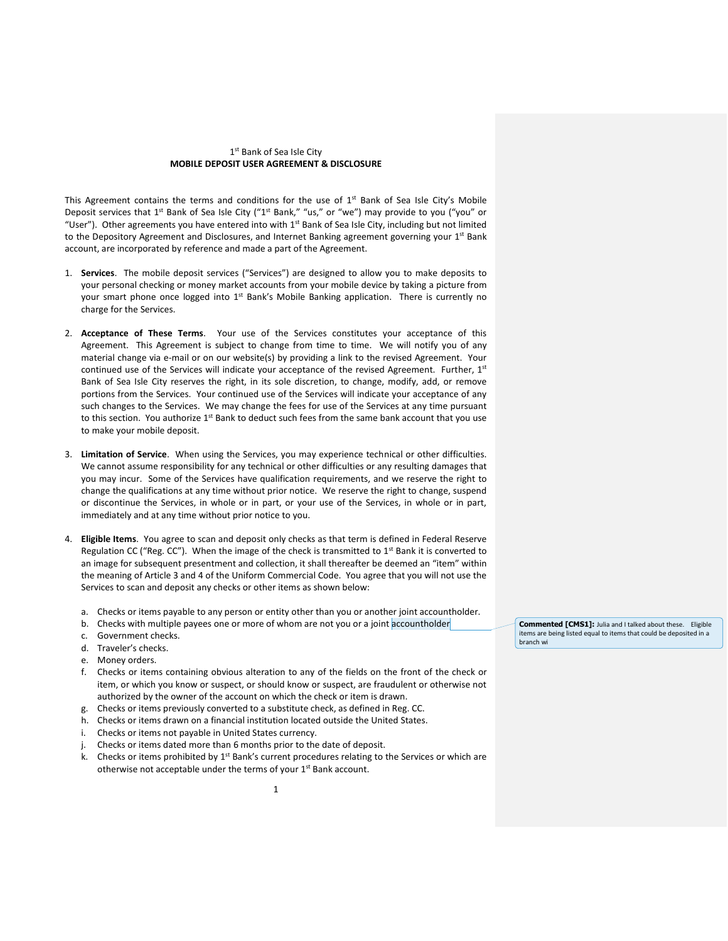## 1st Bank of Sea Isle City **MOBILE DEPOSIT USER AGREEMENT & DISCLOSURE**

This Agreement contains the terms and conditions for the use of  $1<sup>st</sup>$  Bank of Sea Isle City's Mobile Deposit services that 1<sup>st</sup> Bank of Sea Isle City ("1<sup>st</sup> Bank," "us," or "we") may provide to you ("you" or "User"). Other agreements you have entered into with  $1<sup>st</sup>$  Bank of Sea Isle City, including but not limited to the Depository Agreement and Disclosures, and Internet Banking agreement governing your 1st Bank account, are incorporated by reference and made a part of the Agreement.

- 1. **Services**. The mobile deposit services ("Services") are designed to allow you to make deposits to your personal checking or money market accounts from your mobile device by taking a picture from your smart phone once logged into  $1<sup>st</sup>$  Bank's Mobile Banking application. There is currently no charge for the Services.
- 2. **Acceptance of These Terms**. Your use of the Services constitutes your acceptance of this Agreement. This Agreement is subject to change from time to time. We will notify you of any material change via e-mail or on our website(s) by providing a link to the revised Agreement. Your continued use of the Services will indicate your acceptance of the revised Agreement. Further, 1st Bank of Sea Isle City reserves the right, in its sole discretion, to change, modify, add, or remove portions from the Services. Your continued use of the Services will indicate your acceptance of any such changes to the Services. We may change the fees for use of the Services at any time pursuant to this section. You authorize 1<sup>st</sup> Bank to deduct such fees from the same bank account that you use to make your mobile deposit.
- 3. **Limitation of Service**. When using the Services, you may experience technical or other difficulties. We cannot assume responsibility for any technical or other difficulties or any resulting damages that you may incur. Some of the Services have qualification requirements, and we reserve the right to change the qualifications at any time without prior notice. We reserve the right to change, suspend or discontinue the Services, in whole or in part, or your use of the Services, in whole or in part, immediately and at any time without prior notice to you.
- 4. **Eligible Items**. You agree to scan and deposit only checks as that term is defined in Federal Reserve Regulation CC ("Reg.  $CC$ "). When the image of the check is transmitted to  $1<sup>st</sup>$  Bank it is converted to an image for subsequent presentment and collection, it shall thereafter be deemed an "item" within the meaning of Article 3 and 4 of the Uniform Commercial Code. You agree that you will not use the Services to scan and deposit any checks or other items as shown below:
	- a. Checks or items payable to any person or entity other than you or another joint accountholder.
	- b. Checks with multiple payees one or more of whom are not you or a joint accountholder
	- c. Government checks.
	- d. Traveler's checks.
	- e. Money orders.
	- f. Checks or items containing obvious alteration to any of the fields on the front of the check or item, or which you know or suspect, or should know or suspect, are fraudulent or otherwise not authorized by the owner of the account on which the check or item is drawn.
	- g. Checks or items previously converted to a substitute check, as defined in Reg. CC.
	- h. Checks or items drawn on a financial institution located outside the United States.
	- i. Checks or items not payable in United States currency.
	- Checks or items dated more than 6 months prior to the date of deposit.
	- k. Checks or items prohibited by 1<sup>st</sup> Bank's current procedures relating to the Services or which are otherwise not acceptable under the terms of your  $1<sup>st</sup>$  Bank account.

1

**Commented [CMS1]:** Julia and I talked about these. Eligible items are being listed equal to items that could be deposited in a branch wi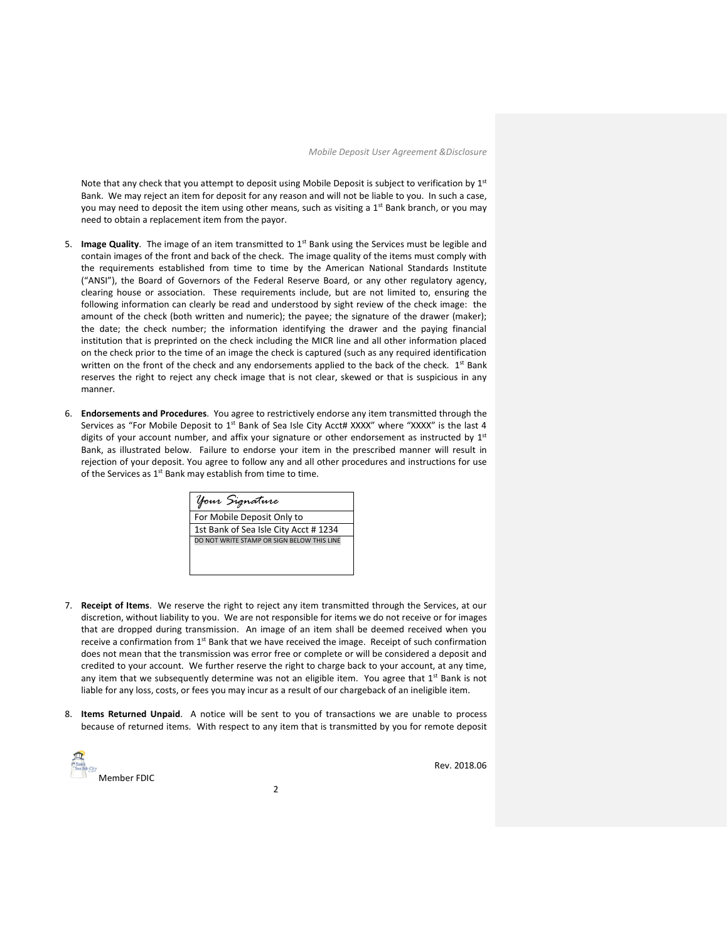Note that any check that you attempt to deposit using Mobile Deposit is subject to verification by 1st Bank. We may reject an item for deposit for any reason and will not be liable to you. In such a case, you may need to deposit the item using other means, such as visiting a  $1<sup>st</sup>$  Bank branch, or you may need to obtain a replacement item from the payor.

- 5. **Image Quality**. The image of an item transmitted to 1<sup>st</sup> Bank using the Services must be legible and contain images of the front and back of the check. The image quality of the items must comply with the requirements established from time to time by the American National Standards Institute ("ANSI"), the Board of Governors of the Federal Reserve Board, or any other regulatory agency, clearing house or association. These requirements include, but are not limited to, ensuring the following information can clearly be read and understood by sight review of the check image: the amount of the check (both written and numeric); the payee; the signature of the drawer (maker); the date; the check number; the information identifying the drawer and the paying financial institution that is preprinted on the check including the MICR line and all other information placed on the check prior to the time of an image the check is captured (such as any required identification written on the front of the check and any endorsements applied to the back of the check. 1<sup>st</sup> Bank reserves the right to reject any check image that is not clear, skewed or that is suspicious in any manner.
- 6. **Endorsements and Procedures**. You agree to restrictively endorse any item transmitted through the Services as "For Mobile Deposit to  $1^{st}$  Bank of Sea Isle City Acct# XXXX" where "XXXX" is the last 4 digits of your account number, and affix your signature or other endorsement as instructed by 1st Bank, as illustrated below. Failure to endorse your item in the prescribed manner will result in rejection of your deposit. You agree to follow any and all other procedures and instructions for use of the Services as  $1<sup>st</sup>$  Bank may establish from time to time.

| Your Signature                             |
|--------------------------------------------|
| For Mobile Deposit Only to                 |
| 1st Bank of Sea Isle City Acct #1234       |
| DO NOT WRITE STAMP OR SIGN BELOW THIS LINE |
|                                            |
|                                            |

- 7. **Receipt of Items**. We reserve the right to reject any item transmitted through the Services, at our discretion, without liability to you. We are not responsible for items we do not receive or for images that are dropped during transmission. An image of an item shall be deemed received when you receive a confirmation from  $1<sup>st</sup>$  Bank that we have received the image. Receipt of such confirmation does not mean that the transmission was error free or complete or will be considered a deposit and credited to your account. We further reserve the right to charge back to your account, at any time, any item that we subsequently determine was not an eligible item. You agree that  $1^{st}$  Bank is not liable for any loss, costs, or fees you may incur as a result of our chargeback of an ineligible item.
- 8. **Items Returned Unpaid**. A notice will be sent to you of transactions we are unable to process because of returned items. With respect to any item that is transmitted by you for remote deposit

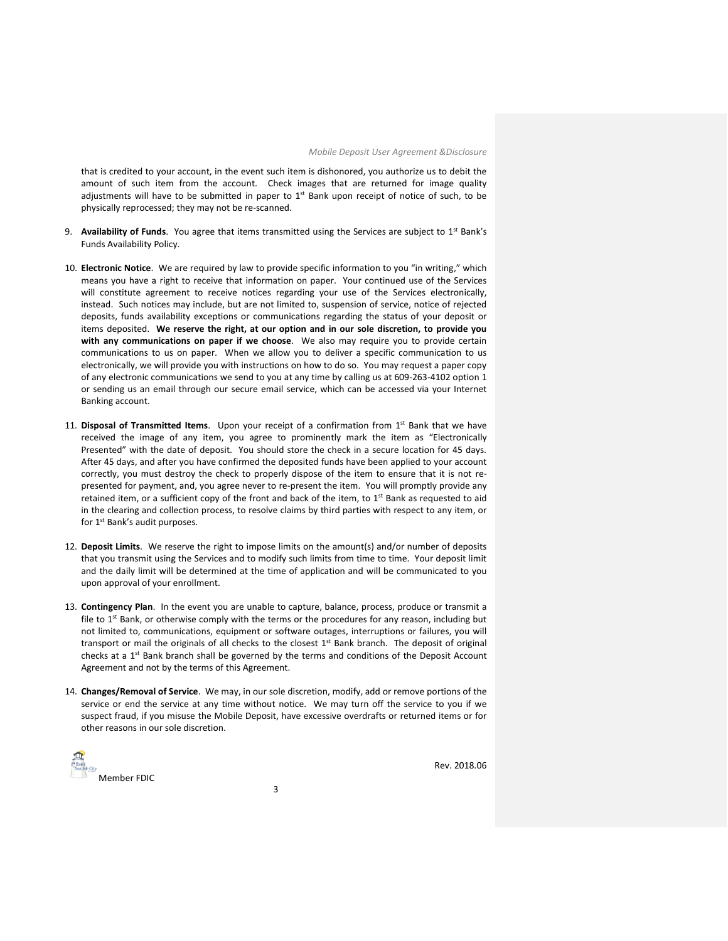that is credited to your account, in the event such item is dishonored, you authorize us to debit the amount of such item from the account. Check images that are returned for image quality adjustments will have to be submitted in paper to  $1<sup>st</sup>$  Bank upon receipt of notice of such, to be physically reprocessed; they may not be re-scanned.

- 9. **Availability of Funds**. You agree that items transmitted using the Services are subject to 1<sup>st</sup> Bank's Funds Availability Policy.
- 10. **Electronic Notice**. We are required by law to provide specific information to you "in writing," which means you have a right to receive that information on paper. Your continued use of the Services will constitute agreement to receive notices regarding your use of the Services electronically, instead. Such notices may include, but are not limited to, suspension of service, notice of rejected deposits, funds availability exceptions or communications regarding the status of your deposit or items deposited. **We reserve the right, at our option and in our sole discretion, to provide you with any communications on paper if we choose**. We also may require you to provide certain communications to us on paper. When we allow you to deliver a specific communication to us electronically, we will provide you with instructions on how to do so. You may request a paper copy of any electronic communications we send to you at any time by calling us at 609-263-4102 option 1 or sending us an email through our secure email service, which can be accessed via your Internet Banking account.
- 11. **Disposal of Transmitted Items**. Upon your receipt of a confirmation from 1st Bank that we have received the image of any item, you agree to prominently mark the item as "Electronically Presented" with the date of deposit. You should store the check in a secure location for 45 days. After 45 days, and after you have confirmed the deposited funds have been applied to your account correctly, you must destroy the check to properly dispose of the item to ensure that it is not represented for payment, and, you agree never to re-present the item. You will promptly provide any retained item, or a sufficient copy of the front and back of the item, to  $1<sup>st</sup>$  Bank as requested to aid in the clearing and collection process, to resolve claims by third parties with respect to any item, or for 1<sup>st</sup> Bank's audit purposes.
- 12. **Deposit Limits**. We reserve the right to impose limits on the amount(s) and/or number of deposits that you transmit using the Services and to modify such limits from time to time. Your deposit limit and the daily limit will be determined at the time of application and will be communicated to you upon approval of your enrollment.
- 13. **Contingency Plan**. In the event you are unable to capture, balance, process, produce or transmit a file to  $1<sup>st</sup>$  Bank, or otherwise comply with the terms or the procedures for any reason, including but not limited to, communications, equipment or software outages, interruptions or failures, you will transport or mail the originals of all checks to the closest  $1<sup>st</sup>$  Bank branch. The deposit of original checks at a  $1<sup>st</sup>$  Bank branch shall be governed by the terms and conditions of the Deposit Account Agreement and not by the terms of this Agreement.
- 14. **Changes/Removal of Service**. We may, in our sole discretion, modify, add or remove portions of the service or end the service at any time without notice. We may turn off the service to you if we suspect fraud, if you misuse the Mobile Deposit, have excessive overdrafts or returned items or for other reasons in our sole discretion.

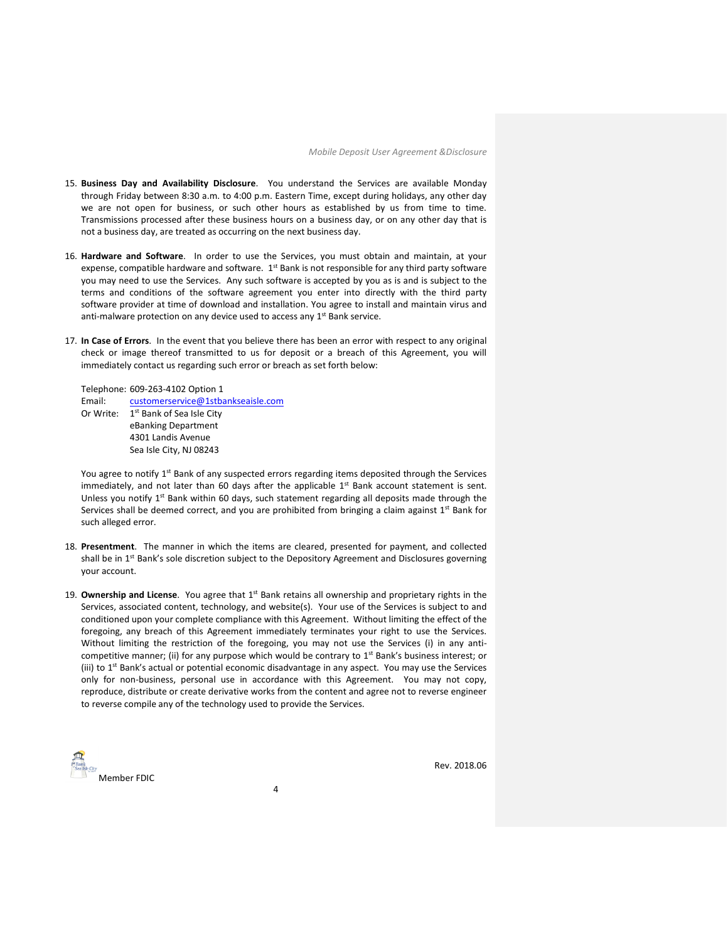- 15. **Business Day and Availability Disclosure**. You understand the Services are available Monday through Friday between 8:30 a.m. to 4:00 p.m. Eastern Time, except during holidays, any other day we are not open for business, or such other hours as established by us from time to time. Transmissions processed after these business hours on a business day, or on any other day that is not a business day, are treated as occurring on the next business day.
- 16. **Hardware and Software**. In order to use the Services, you must obtain and maintain, at your expense, compatible hardware and software.  $1<sup>st</sup>$  Bank is not responsible for any third party software you may need to use the Services. Any such software is accepted by you as is and is subject to the terms and conditions of the software agreement you enter into directly with the third party software provider at time of download and installation. You agree to install and maintain virus and anti-malware protection on any device used to access any 1<sup>st</sup> Bank service.
- 17. **In Case of Errors**. In the event that you believe there has been an error with respect to any original check or image thereof transmitted to us for deposit or a breach of this Agreement, you will immediately contact us regarding such error or breach as set forth below:

Telephone: 609-263-4102 Option 1 Email: [customerservice@1stbankseaisle.com](mailto:customerservice@1stbankseaisle.com) Or Write: 1<sup>st</sup> Bank of Sea Isle City eBanking Department 4301 Landis Avenue Sea Isle City, NJ 08243

You agree to notify 1<sup>st</sup> Bank of any suspected errors regarding items deposited through the Services immediately, and not later than 60 days after the applicable  $1<sup>st</sup>$  Bank account statement is sent. Unless you notify  $1^{st}$  Bank within 60 days, such statement regarding all deposits made through the Services shall be deemed correct, and you are prohibited from bringing a claim against  $1^{st}$  Bank for such alleged error.

- 18. **Presentment**. The manner in which the items are cleared, presented for payment, and collected shall be in 1<sup>st</sup> Bank's sole discretion subject to the Depository Agreement and Disclosures governing your account.
- 19. **Ownership and License**. You agree that 1<sup>st</sup> Bank retains all ownership and proprietary rights in the Services, associated content, technology, and website(s). Your use of the Services is subject to and conditioned upon your complete compliance with this Agreement. Without limiting the effect of the foregoing, any breach of this Agreement immediately terminates your right to use the Services. Without limiting the restriction of the foregoing, you may not use the Services (i) in any anticompetitive manner; (ii) for any purpose which would be contrary to  $1<sup>st</sup>$  Bank's business interest; or (iii) to 1<sup>st</sup> Bank's actual or potential economic disadvantage in any aspect. You may use the Services only for non-business, personal use in accordance with this Agreement. You may not copy, reproduce, distribute or create derivative works from the content and agree not to reverse engineer to reverse compile any of the technology used to provide the Services.

Member FDIC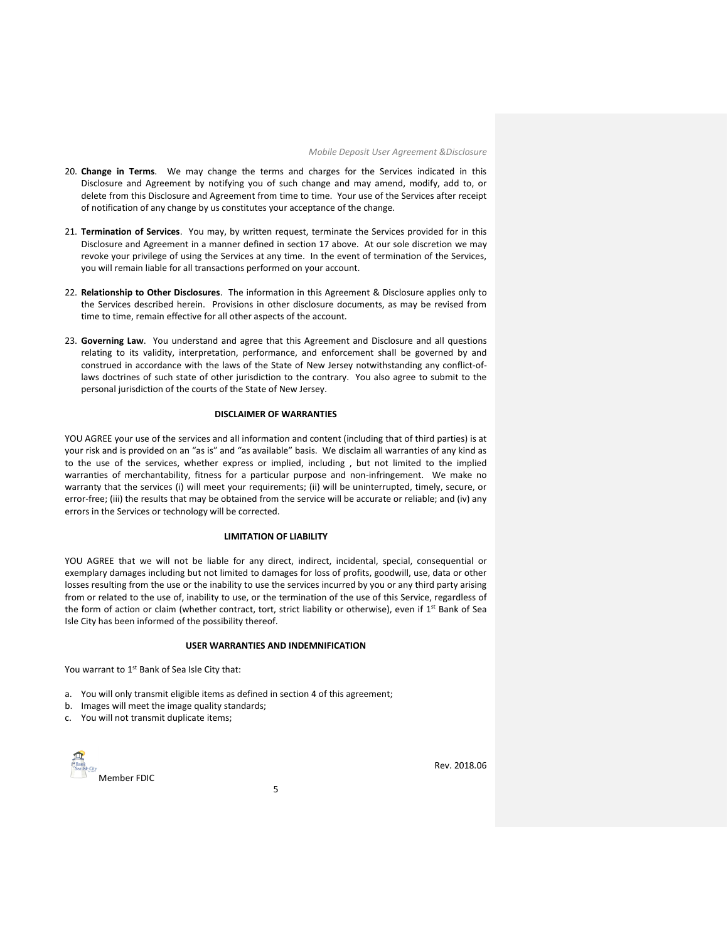- 20. **Change in Terms**. We may change the terms and charges for the Services indicated in this Disclosure and Agreement by notifying you of such change and may amend, modify, add to, or delete from this Disclosure and Agreement from time to time. Your use of the Services after receipt of notification of any change by us constitutes your acceptance of the change.
- 21. **Termination of Services**. You may, by written request, terminate the Services provided for in this Disclosure and Agreement in a manner defined in section 17 above. At our sole discretion we may revoke your privilege of using the Services at any time. In the event of termination of the Services, you will remain liable for all transactions performed on your account.
- 22. **Relationship to Other Disclosures**. The information in this Agreement & Disclosure applies only to the Services described herein. Provisions in other disclosure documents, as may be revised from time to time, remain effective for all other aspects of the account.
- 23. **Governing Law**. You understand and agree that this Agreement and Disclosure and all questions relating to its validity, interpretation, performance, and enforcement shall be governed by and construed in accordance with the laws of the State of New Jersey notwithstanding any conflict-oflaws doctrines of such state of other jurisdiction to the contrary. You also agree to submit to the personal jurisdiction of the courts of the State of New Jersey.

## **DISCLAIMER OF WARRANTIES**

YOU AGREE your use of the services and all information and content (including that of third parties) is at your risk and is provided on an "as is" and "as available" basis. We disclaim all warranties of any kind as to the use of the services, whether express or implied, including , but not limited to the implied warranties of merchantability, fitness for a particular purpose and non-infringement. We make no warranty that the services (i) will meet your requirements; (ii) will be uninterrupted, timely, secure, or error-free; (iii) the results that may be obtained from the service will be accurate or reliable; and (iv) any errors in the Services or technology will be corrected.

## **LIMITATION OF LIABILITY**

YOU AGREE that we will not be liable for any direct, indirect, incidental, special, consequential or exemplary damages including but not limited to damages for loss of profits, goodwill, use, data or other losses resulting from the use or the inability to use the services incurred by you or any third party arising from or related to the use of, inability to use, or the termination of the use of this Service, regardless of the form of action or claim (whether contract, tort, strict liability or otherwise), even if 1<sup>st</sup> Bank of Sea Isle City has been informed of the possibility thereof.

## **USER WARRANTIES AND INDEMNIFICATION**

You warrant to  $1<sup>st</sup>$  Bank of Sea Isle City that:

- a. You will only transmit eligible items as defined in section 4 of this agreement;
- b. Images will meet the image quality standards;
- c. You will not transmit duplicate items;